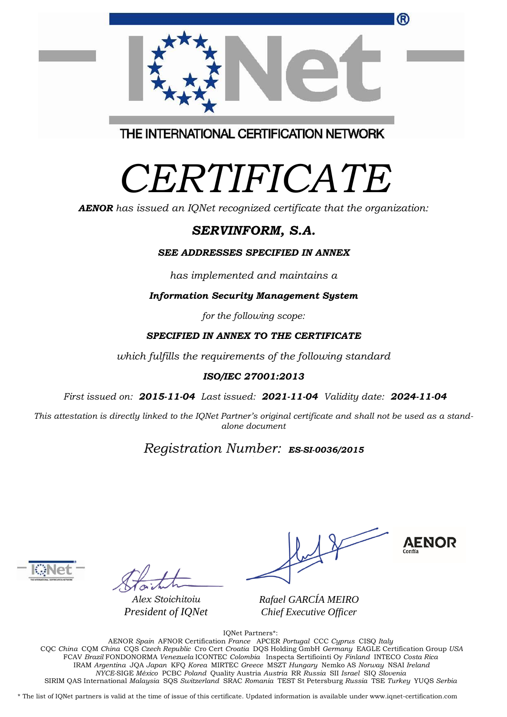|                                         | ® |
|-----------------------------------------|---|
|                                         |   |
|                                         |   |
|                                         |   |
| THE INTERNATIONAL CERTIFICATION NETWORK |   |

# *CERTIFICATE*

*AENOR has issued an IQNet recognized certificate that the organization:*

## *SERVINFORM, S.A.*

#### *SEE ADDRESSES SPECIFIED IN ANNEX*

*has implemented and maintains a*

*Information Security Management System* 

*for the following scope:* 

#### *SPECIFIED IN ANNEX TO THE CERTIFICATE*

*which fulfills the requirements of the following standard*

#### *ISO/IEC 27001:2013*

*First issued on: 2015-11-04 Last issued: 2021-11-04 Validity date: 2024-11-04*

This attestation is directly linked to the IQNet Partner's original certificate and shall not be used as a stand*alone document*

# *Registration Number: ES-SI-0036/2015*



*Alex Stoichitoiu President of IQNet*

**AENOR** 

*Rafael GARCÍA MEIRO Chief Executive Officer*

IQNet Partners\*:

AENOR *Spain* AFNOR Certification *France* APCER *Portugal* CCC *Cyprus* CISQ *Italy* CQC *China* CQM *China* CQS *Czech Republic* Cro Cert *Croatia* DQS Holding GmbH *Germany* EAGLE Certification Group *USA* FCAV *Brazil* FONDONORMA *Venezuela* ICONTEC *Colombia* Inspecta Sertifiointi Oy *Finland* INTECO *Costa Rica* IRAM *Argentina* JQA *Japan* KFQ *Korea* MIRTEC *Greece* MSZT *Hungary* Nemko AS *Norway* NSAI *Ireland NYCE-*SIGE *México* PCBC *Poland* Quality Austria *Austria* RR *Russia* SII *Israel* SIQ *Slovenia*  SIRIM QAS International *Malaysia* SQS *Switzerland* SRAC *Romania* TEST St Petersburg *Russia* TSE *Turkey* YUQS *Serbia*

\* The list of IQNet partners is valid at the time of issue of this certificate. Updated information is available under www.iqnet-certification.com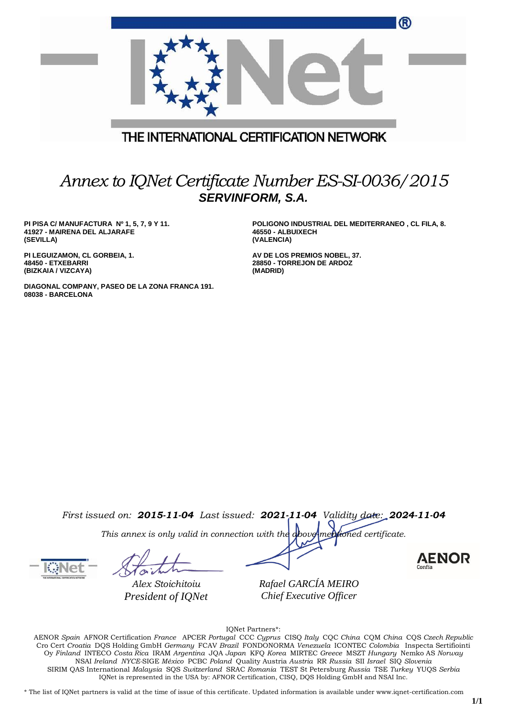|                                                                                         | $\bf (R)$                                                                            |  |  |
|-----------------------------------------------------------------------------------------|--------------------------------------------------------------------------------------|--|--|
|                                                                                         |                                                                                      |  |  |
|                                                                                         | THE INTERNATIONAL CERTIFICATION NETWORK                                              |  |  |
| Annex to IQNet Certificate Number ES-SI-0036/2015<br><b>SERVINFORM, S.A.</b>            |                                                                                      |  |  |
| PI PISA C/ MANUFACTURA Nº 1, 5, 7, 9 Y 11.<br>41927 - MAIRENA DEL ALJARAFE<br>(SEVILLA) | POLIGONO INDUSTRIAL DEL MEDITERRANEO, CL FILA, 8.<br>46550 - ALBUIXECH<br>(VALENCIA) |  |  |
| PI LEGUIZAMON, CL GORBEIA, 1.                                                           | AV DE LOS PREMIOS NOBEL, 37.                                                         |  |  |

**DIAGONAL COMPANY, PASEO DE LA ZONA FRANCA 191. 08038 - BARCELONA**

**AV DE LOS PREMIOS NOBEL, 37. 28850 - TORREJON DE ARDOZ (MADRID)**

*First issued on: 2015-11-04 Last issued: 2021-11-04 Validity date: 2024-11-04*

*This annex is only valid in connection with the above-mentioned certificate.*

**48450 - ETXEBARRI (BIZKAIA / VIZCAYA)**

*Alex Stoichitoiu President of IQNet*

*Rafael GARCÍA MEIRO Chief Executive Officer*

**AENOR** 

IQNet Partners\*:

AENOR *Spain* AFNOR Certification *France* APCER *Portugal* CCC *Cyprus* CISQ *Italy* CQC *China* CQM *China* CQS *Czech Republic*  Cro Cert *Croatia* DQS Holding GmbH *Germany* FCAV *Brazil* FONDONORMA *Venezuela* ICONTEC *Colombia* Inspecta Sertifiointi Oy *Finland* INTECO *Costa Rica* IRAM *Argentina* JQA *Japan* KFQ *Korea* MIRTEC *Greece* MSZT *Hungary* Nemko AS *Norway*  NSAI *Ireland NYCE-*SIGE *México* PCBC *Poland* Quality Austria *Austria* RR *Russia* SII *Israel* SIQ *Slovenia*  SIRIM QAS International *Malaysia* SQS *Switzerland* SRAC *Romania* TEST St Petersburg *Russia* TSE *Turkey* YUQS *Serbia* IQNet is represented in the USA by: AFNOR Certification, CISQ, DQS Holding GmbH and NSAI Inc.

\* The list of IQNet partners is valid at the time of issue of this certificate. Updated information is available under www.iqnet-certification.com